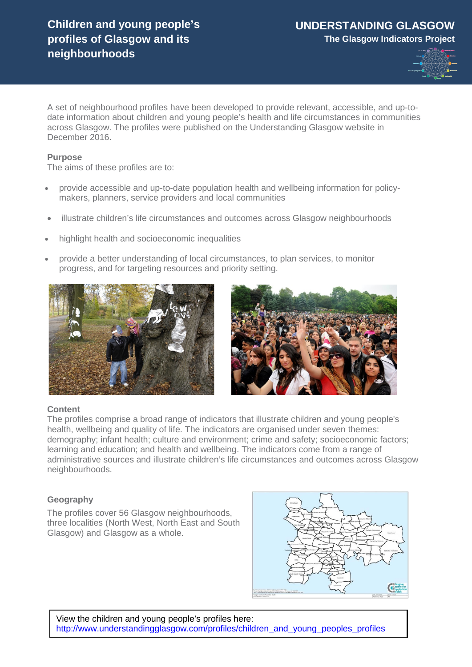

A set of neighbourhood profiles have been developed to provide relevant, accessible, and up-todate information about children and young people's health and life circumstances in communities across Glasgow. The profiles were published on the Understanding Glasgow website in December 2016.

### **Purpose**

The aims of these profiles are to:

- provide accessible and up-to-date population health and wellbeing information for policymakers, planners, service providers and local communities
- illustrate children's life circumstances and outcomes across Glasgow neighbourhoods
- highlight health and socioeconomic inequalities
- provide a better understanding of local circumstances, to plan services, to monitor progress, and for targeting resources and priority setting.





# **Content**

The profiles comprise a broad range of indicators that illustrate children and young people's health, wellbeing and quality of life. The indicators are organised under seven themes: demography; infant health; culture and environment; crime and safety; socioeconomic factors; learning and education; and health and wellbeing. The indicators come from a range of administrative sources and illustrate children's life circumstances and outcomes across Glasgow neighbourhoods.

# **Geography**

The profiles cover 56 Glasgow neighbourhoods, three localities (North West, North East and South Glasgow) and Glasgow as a whole.



View the children and young people's profiles here: [http://www.understandingglasgow.com/profiles/children\\_and\\_young\\_peoples\\_profiles](http://www.understandingglasgow.com/profiles/children_and_young_peoples_profiles)